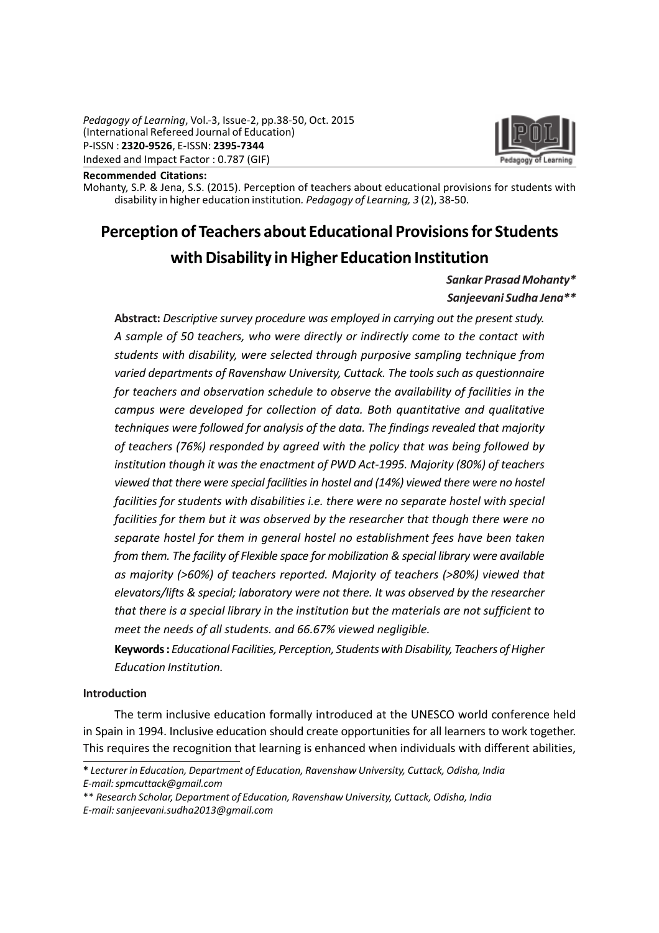

#### Recommended Citations:

Mohanty, S.P. & Jena, S.S. (2015). Perception of teachers about educational provisions for students with disability in higher education institution. Pedagogy of Learning, 3 (2), 38-50.

# Perception of Teachers about Educational Provisions for Students with Disability in Higher Education Institution

## Sankar Prasad Mohanty\*

## Sanjeevani Sudha Jena\*\*

Abstract: Descriptive survey procedure was employed in carrying out the present study. A sample of 50 teachers, who were directly or indirectly come to the contact with students with disability, were selected through purposive sampling technique from varied departments of Ravenshaw University, Cuttack. The tools such as questionnaire for teachers and observation schedule to observe the availability of facilities in the campus were developed for collection of data. Both quantitative and qualitative techniques were followed for analysis of the data. The findings revealed that majority of teachers (76%) responded by agreed with the policy that was being followed by institution though it was the enactment of PWD Act-1995. Majority (80%) of teachers viewed that there were special facilities in hostel and (14%) viewed there were no hostel facilities for students with disabilities i.e. there were no separate hostel with special facilities for them but it was observed by the researcher that though there were no separate hostel for them in general hostel no establishment fees have been taken from them. The facility of Flexible space for mobilization & special library were available as majority (>60%) of teachers reported. Majority of teachers (>80%) viewed that elevators/lifts & special; laboratory were not there. It was observed by the researcher that there is a special library in the institution but the materials are not sufficient to meet the needs of all students. and 66.67% viewed negligible.

Keywords : Educational Facilities, Perception, Students with Disability, Teachers of Higher Education Institution.

#### Introduction

The term inclusive education formally introduced at the UNESCO world conference held in Spain in 1994. Inclusive education should create opportunities for all learners to work together. This requires the recognition that learning is enhanced when individuals with different abilities,

<sup>\*</sup> Lecturer in Education, Department of Education, Ravenshaw University, Cuttack, Odisha, India E-mail: spmcuttack@gmail.com

<sup>\*\*</sup> Research Scholar, Department of Education, Ravenshaw University, Cuttack, Odisha, India E-mail: sanjeevani.sudha2013@gmail.com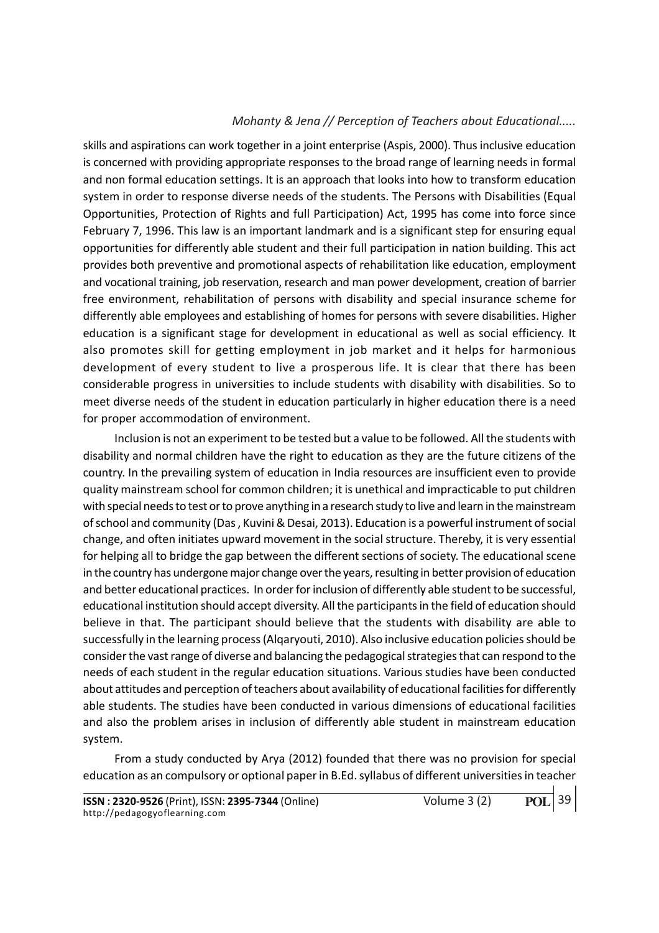skills and aspirations can work together in a joint enterprise (Aspis, 2000). Thus inclusive education is concerned with providing appropriate responses to the broad range of learning needs in formal and non formal education settings. It is an approach that looks into how to transform education system in order to response diverse needs of the students. The Persons with Disabilities (Equal Opportunities, Protection of Rights and full Participation) Act, 1995 has come into force since February 7, 1996. This law is an important landmark and is a significant step for ensuring equal opportunities for differently able student and their full participation in nation building. This act provides both preventive and promotional aspects of rehabilitation like education, employment and vocational training, job reservation, research and man power development, creation of barrier free environment, rehabilitation of persons with disability and special insurance scheme for differently able employees and establishing of homes for persons with severe disabilities. Higher education is a significant stage for development in educational as well as social efficiency. It also promotes skill for getting employment in job market and it helps for harmonious development of every student to live a prosperous life. It is clear that there has been considerable progress in universities to include students with disability with disabilities. So to meet diverse needs of the student in education particularly in higher education there is a need for proper accommodation of environment.

Inclusion is not an experiment to be tested but a value to be followed. All the students with disability and normal children have the right to education as they are the future citizens of the country. In the prevailing system of education in India resources are insufficient even to provide quality mainstream school for common children; it is unethical and impracticable to put children with special needs to test or to prove anything in a research study to live and learn in the mainstream of school and community (Das , Kuvini & Desai, 2013). Education is a powerful instrument of social change, and often initiates upward movement in the social structure. Thereby, it is very essential for helping all to bridge the gap between the different sections of society. The educational scene in the country has undergone major change over the years, resulting in better provision of education and better educational practices. In order for inclusion of differently able student to be successful, educational institution should accept diversity. All the participants in the field of education should believe in that. The participant should believe that the students with disability are able to successfully in the learning process (Alqaryouti, 2010). Also inclusive education policies should be consider the vast range of diverse and balancing the pedagogical strategies that can respond to the needs of each student in the regular education situations. Various studies have been conducted about attitudes and perception of teachers about availability of educational facilities for differently able students. The studies have been conducted in various dimensions of educational facilities and also the problem arises in inclusion of differently able student in mainstream education system.

From a study conducted by Arya (2012) founded that there was no provision for special education as an compulsory or optional paper in B.Ed. syllabus of different universities in teacher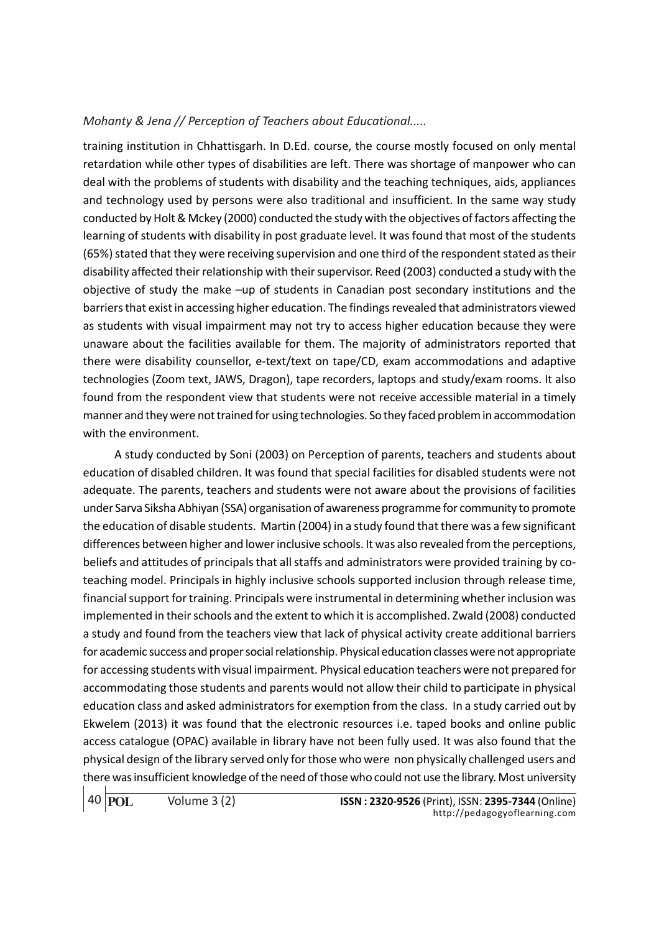training institution in Chhattisgarh. In D.Ed. course, the course mostly focused on only mental retardation while other types of disabilities are left. There was shortage of manpower who can deal with the problems of students with disability and the teaching techniques, aids, appliances and technology used by persons were also traditional and insufficient. In the same way study conducted by Holt & Mckey (2000) conducted the study with the objectives of factors affecting the learning of students with disability in post graduate level. It was found that most of the students (65%) stated that they were receiving supervision and one third of the respondent stated as their disability affected their relationship with their supervisor. Reed (2003) conducted a study with the objective of study the make –up of students in Canadian post secondary institutions and the barriers that exist in accessing higher education. The findings revealed that administrators viewed as students with visual impairment may not try to access higher education because they were unaware about the facilities available for them. The majority of administrators reported that there were disability counsellor, e-text/text on tape/CD, exam accommodations and adaptive technologies (Zoom text, JAWS, Dragon), tape recorders, laptops and study/exam rooms. It also found from the respondent view that students were not receive accessible material in a timely manner and they were not trained for using technologies. So they faced problem in accommodation with the environment.

A study conducted by Soni (2003) on Perception of parents, teachers and students about education of disabled children. It was found that special facilities for disabled students were not adequate. The parents, teachers and students were not aware about the provisions of facilities under Sarva Siksha Abhiyan (SSA) organisation of awareness programme for community to promote the education of disable students. Martin (2004) in a study found that there was a few significant differences between higher and lower inclusive schools. It was also revealed from the perceptions, beliefs and attitudes of principals that all staffs and administrators were provided training by coteaching model. Principals in highly inclusive schools supported inclusion through release time, financial support for training. Principals were instrumental in determining whether inclusion was implemented in their schools and the extent to which it is accomplished. Zwald (2008) conducted a study and found from the teachers view that lack of physical activity create additional barriers for academic success and proper social relationship. Physical education classes were not appropriate for accessing students with visual impairment. Physical education teachers were not prepared for accommodating those students and parents would not allow their child to participate in physical education class and asked administrators for exemption from the class. In a study carried out by Ekwelem (2013) it was found that the electronic resources i.e. taped books and online public access catalogue (OPAC) available in library have not been fully used. It was also found that the physical design of the library served only for those who were non physically challenged users and there was insufficient knowledge of the need of those who could not use the library. Most university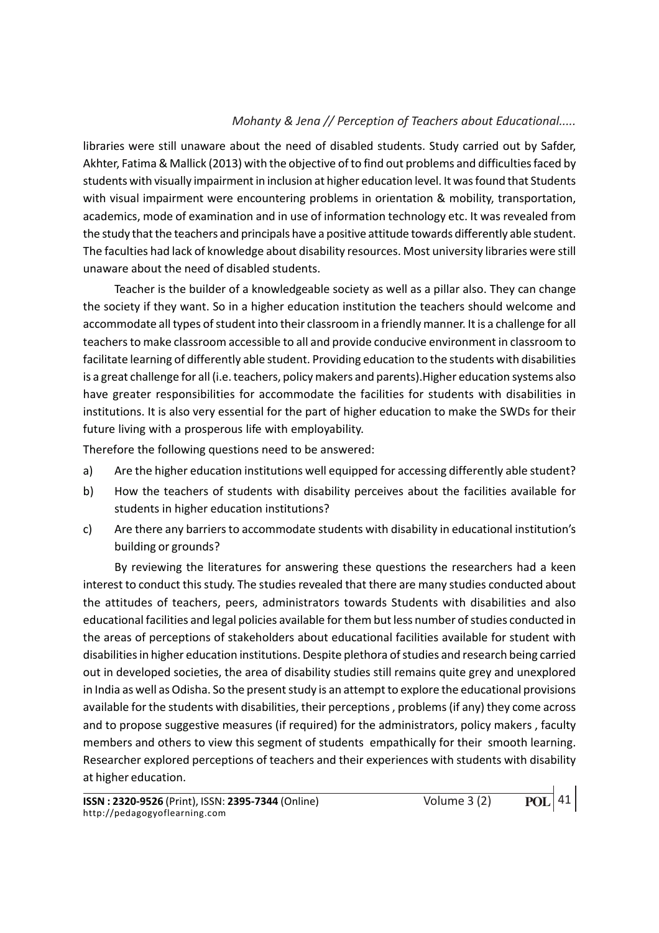libraries were still unaware about the need of disabled students. Study carried out by Safder, Akhter, Fatima & Mallick (2013) with the objective of to find out problems and difficulties faced by students with visually impairment in inclusion at higher education level. It was found that Students with visual impairment were encountering problems in orientation & mobility, transportation, academics, mode of examination and in use of information technology etc. It was revealed from the study that the teachers and principals have a positive attitude towards differently able student. The faculties had lack of knowledge about disability resources. Most university libraries were still unaware about the need of disabled students.

Teacher is the builder of a knowledgeable society as well as a pillar also. They can change the society if they want. So in a higher education institution the teachers should welcome and accommodate all types of student into their classroom in a friendly manner. It is a challenge for all teachers to make classroom accessible to all and provide conducive environment in classroom to facilitate learning of differently able student. Providing education to the students with disabilities is a great challenge for all (i.e. teachers, policy makers and parents).Higher education systems also have greater responsibilities for accommodate the facilities for students with disabilities in institutions. It is also very essential for the part of higher education to make the SWDs for their future living with a prosperous life with employability.

Therefore the following questions need to be answered:

- a) Are the higher education institutions well equipped for accessing differently able student?
- b) How the teachers of students with disability perceives about the facilities available for students in higher education institutions?
- c) Are there any barriers to accommodate students with disability in educational institution's building or grounds?

By reviewing the literatures for answering these questions the researchers had a keen interest to conduct this study. The studies revealed that there are many studies conducted about the attitudes of teachers, peers, administrators towards Students with disabilities and also educational facilities and legal policies available for them but less number of studies conducted in the areas of perceptions of stakeholders about educational facilities available for student with disabilities in higher education institutions. Despite plethora of studies and research being carried out in developed societies, the area of disability studies still remains quite grey and unexplored in India as well as Odisha. So the present study is an attempt to explore the educational provisions available for the students with disabilities, their perceptions , problems (if any) they come across and to propose suggestive measures (if required) for the administrators, policy makers , faculty members and others to view this segment of students empathically for their smooth learning. Researcher explored perceptions of teachers and their experiences with students with disability at higher education.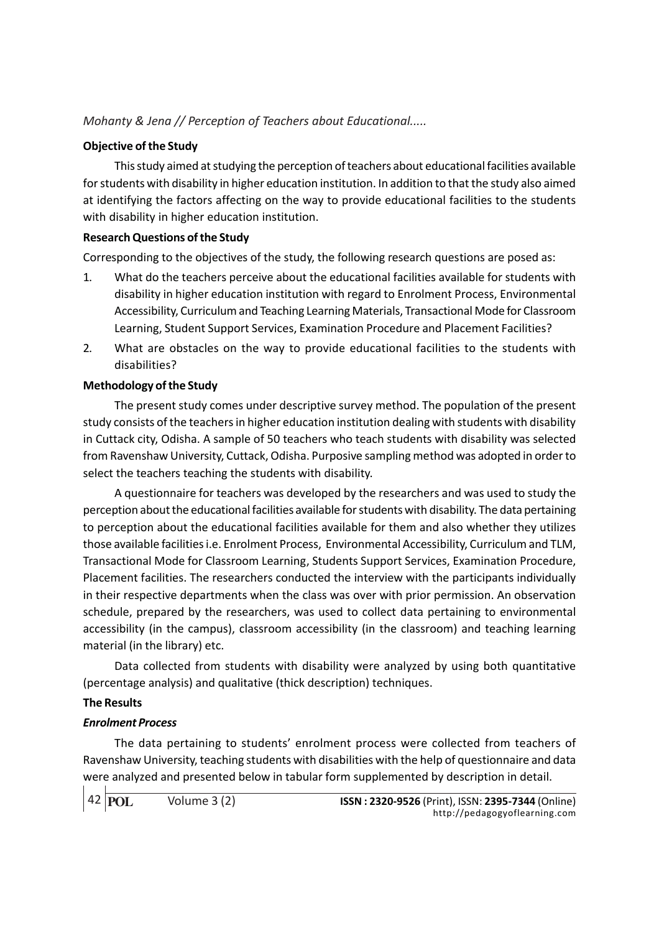## Objective of the Study

This study aimed at studying the perception of teachers about educational facilities available for students with disability in higher education institution. In addition to that the study also aimed at identifying the factors affecting on the way to provide educational facilities to the students with disability in higher education institution.

## Research Questions of the Study

Corresponding to the objectives of the study, the following research questions are posed as:

- 1. What do the teachers perceive about the educational facilities available for students with disability in higher education institution with regard to Enrolment Process, Environmental Accessibility, Curriculum and Teaching Learning Materials, Transactional Mode for Classroom Learning, Student Support Services, Examination Procedure and Placement Facilities?
- 2. What are obstacles on the way to provide educational facilities to the students with disabilities?

## Methodology of the Study

The present study comes under descriptive survey method. The population of the present study consists of the teachers in higher education institution dealing with students with disability in Cuttack city, Odisha. A sample of 50 teachers who teach students with disability was selected from Ravenshaw University, Cuttack, Odisha. Purposive sampling method was adopted in order to select the teachers teaching the students with disability.

A questionnaire for teachers was developed by the researchers and was used to study the perception about the educational facilities available for students with disability. The data pertaining to perception about the educational facilities available for them and also whether they utilizes those available facilities i.e. Enrolment Process, Environmental Accessibility, Curriculum and TLM, Transactional Mode for Classroom Learning, Students Support Services, Examination Procedure, Placement facilities. The researchers conducted the interview with the participants individually in their respective departments when the class was over with prior permission. An observation schedule, prepared by the researchers, was used to collect data pertaining to environmental accessibility (in the campus), classroom accessibility (in the classroom) and teaching learning material (in the library) etc.

Data collected from students with disability were analyzed by using both quantitative (percentage analysis) and qualitative (thick description) techniques.

## The Results

## Enrolment Process

The data pertaining to students' enrolment process were collected from teachers of Ravenshaw University, teaching students with disabilities with the help of questionnaire and data were analyzed and presented below in tabular form supplemented by description in detail.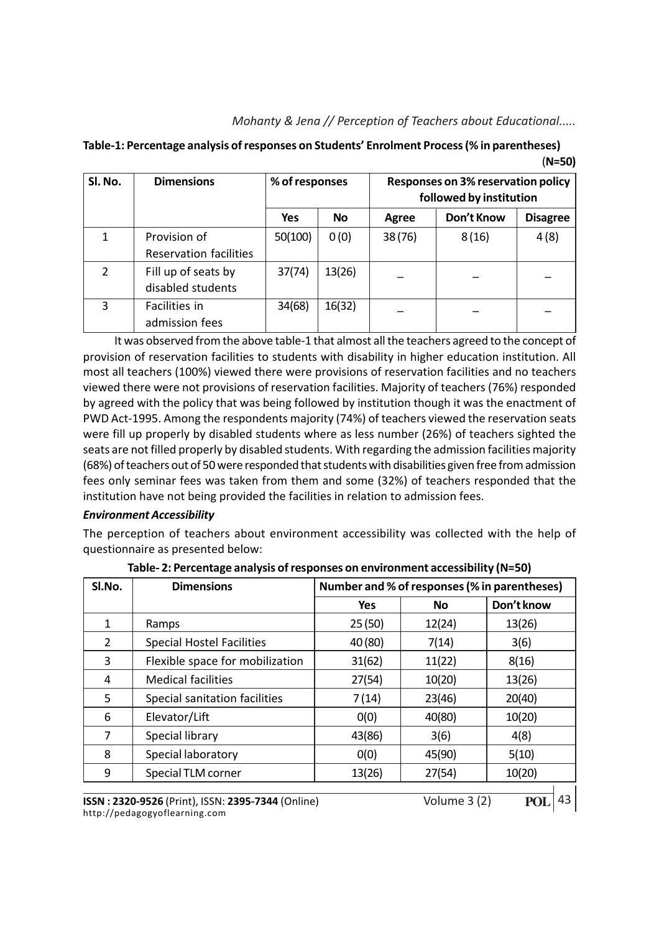| Table-1: Percentage analysis of responses on Students' Enrolment Process (% in parentheses) |          |
|---------------------------------------------------------------------------------------------|----------|
|                                                                                             | $(N=50)$ |

| Sl. No.       | <b>Dimensions</b>                             | % of responses |           |        | Responses on 3% reservation policy<br>followed by institution |                 |
|---------------|-----------------------------------------------|----------------|-----------|--------|---------------------------------------------------------------|-----------------|
|               |                                               | Yes            | <b>No</b> | Agree  | Don't Know                                                    | <b>Disagree</b> |
|               | Provision of<br><b>Reservation facilities</b> | 50(100)        | 0(0)      | 38(76) | 8(16)                                                         | 4(8)            |
| $\mathcal{P}$ | Fill up of seats by<br>disabled students      | 37(74)         | 13(26)    |        |                                                               |                 |
| 3             | Facilities in<br>admission fees               | 34(68)         | 16(32)    |        |                                                               |                 |

It was observed from the above table-1 that almost all the teachers agreed to the concept of provision of reservation facilities to students with disability in higher education institution. All most all teachers (100%) viewed there were provisions of reservation facilities and no teachers viewed there were not provisions of reservation facilities. Majority of teachers (76%) responded by agreed with the policy that was being followed by institution though it was the enactment of PWD Act-1995. Among the respondents majority (74%) of teachers viewed the reservation seats were fill up properly by disabled students where as less number (26%) of teachers sighted the seats are not filled properly by disabled students. With regarding the admission facilities majority (68%) of teachers out of 50 were responded that students with disabilities given free from admission fees only seminar fees was taken from them and some (32%) of teachers responded that the institution have not being provided the facilities in relation to admission fees.

## Environment Accessibility

The perception of teachers about environment accessibility was collected with the help of questionnaire as presented below:

| Don't know<br><b>Yes</b><br><b>No</b><br>25(50)<br>12(24)<br>13(26)<br>1<br>Ramps<br><b>Special Hostel Facilities</b><br>40 (80)<br>7(14)<br>$\overline{2}$<br>3(6)<br>Flexible space for mobilization<br>31(62)<br>11(22)<br>8(16)<br>3<br><b>Medical facilities</b><br>27(54)<br>10(20)<br>13(26)<br>4<br>Special sanitation facilities<br>23(46)<br>20(40)<br>5<br>7(14)<br>40(80)<br>10(20)<br>6<br>0(0)<br>Elevator/Lift<br>Special library<br>43(86)<br>3(6)<br>4(8)<br>7 | SI.No. | <b>Dimensions</b> | Number and % of responses (% in parentheses) |  |  |  |  |  |
|---------------------------------------------------------------------------------------------------------------------------------------------------------------------------------------------------------------------------------------------------------------------------------------------------------------------------------------------------------------------------------------------------------------------------------------------------------------------------------|--------|-------------------|----------------------------------------------|--|--|--|--|--|
|                                                                                                                                                                                                                                                                                                                                                                                                                                                                                 |        |                   |                                              |  |  |  |  |  |
|                                                                                                                                                                                                                                                                                                                                                                                                                                                                                 |        |                   |                                              |  |  |  |  |  |
|                                                                                                                                                                                                                                                                                                                                                                                                                                                                                 |        |                   |                                              |  |  |  |  |  |
|                                                                                                                                                                                                                                                                                                                                                                                                                                                                                 |        |                   |                                              |  |  |  |  |  |
|                                                                                                                                                                                                                                                                                                                                                                                                                                                                                 |        |                   |                                              |  |  |  |  |  |
|                                                                                                                                                                                                                                                                                                                                                                                                                                                                                 |        |                   |                                              |  |  |  |  |  |
|                                                                                                                                                                                                                                                                                                                                                                                                                                                                                 |        |                   |                                              |  |  |  |  |  |
|                                                                                                                                                                                                                                                                                                                                                                                                                                                                                 |        |                   |                                              |  |  |  |  |  |
| Special laboratory<br>8<br>0(0)<br>45(90)<br>5(10)                                                                                                                                                                                                                                                                                                                                                                                                                              |        |                   |                                              |  |  |  |  |  |
| 27(54)<br>10(20)<br>13(26)<br>9<br>Special TLM corner                                                                                                                                                                                                                                                                                                                                                                                                                           |        |                   |                                              |  |  |  |  |  |

Table- 2: Percentage analysis of responses on environment accessibility (N=50)

**ISSN : 2320-9526** (Print), ISSN: 2395-7344 (Online) Volume 3 (2) http://pedagogyoflearning.com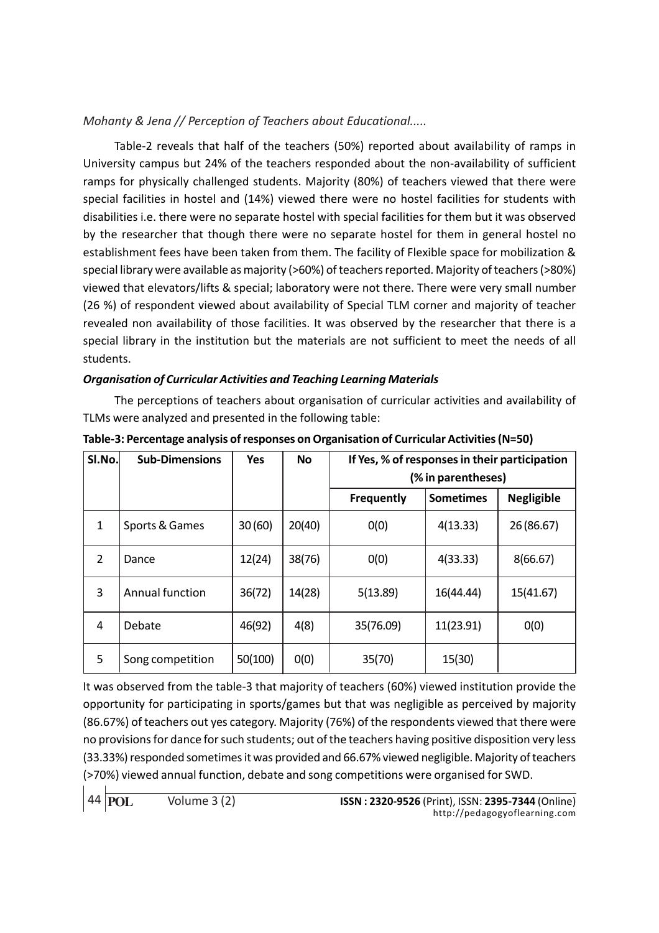Table-2 reveals that half of the teachers (50%) reported about availability of ramps in University campus but 24% of the teachers responded about the non-availability of sufficient ramps for physically challenged students. Majority (80%) of teachers viewed that there were special facilities in hostel and (14%) viewed there were no hostel facilities for students with disabilities i.e. there were no separate hostel with special facilities for them but it was observed by the researcher that though there were no separate hostel for them in general hostel no establishment fees have been taken from them. The facility of Flexible space for mobilization & special library were available as majority (>60%) of teachers reported. Majority of teachers (>80%) viewed that elevators/lifts & special; laboratory were not there. There were very small number (26 %) of respondent viewed about availability of Special TLM corner and majority of teacher revealed non availability of those facilities. It was observed by the researcher that there is a special library in the institution but the materials are not sufficient to meet the needs of all students.

## Organisation of Curricular Activities and Teaching Learning Materials

The perceptions of teachers about organisation of curricular activities and availability of TLMs were analyzed and presented in the following table:

| SI.No. | <b>Sub-Dimensions</b> | <b>Yes</b> | <b>No</b> | If Yes, % of responses in their participation<br>(% in parentheses) |                  |                   |  |  |
|--------|-----------------------|------------|-----------|---------------------------------------------------------------------|------------------|-------------------|--|--|
|        |                       |            |           | <b>Frequently</b>                                                   | <b>Sometimes</b> | <b>Negligible</b> |  |  |
| 1      | Sports & Games        | 30(60)     | 20(40)    | 0(0)                                                                | 4(13.33)         | 26 (86.67)        |  |  |
| 2      | Dance                 | 12(24)     | 38(76)    | 0(0)                                                                | 4(33.33)         | 8(66.67)          |  |  |
| 3      | Annual function       | 36(72)     | 14(28)    | 5(13.89)                                                            | 16(44.44)        | 15(41.67)         |  |  |
| 4      | Debate                | 46(92)     | 4(8)      | 35(76.09)                                                           | 11(23.91)        | O(0)              |  |  |
| 5      | Song competition      | 50(100)    | O(0)      | 35(70)                                                              | 15(30)           |                   |  |  |

Table-3: Percentage analysis of responses on Organisation of Curricular Activities (N=50)

It was observed from the table-3 that majority of teachers (60%) viewed institution provide the opportunity for participating in sports/games but that was negligible as perceived by majority (86.67%) of teachers out yes category. Majority (76%) of the respondents viewed that there were no provisions for dance for such students; out of the teachers having positive disposition very less (33.33%) responded sometimes it was provided and 66.67% viewed negligible. Majority of teachers (>70%) viewed annual function, debate and song competitions were organised for SWD.

**POL**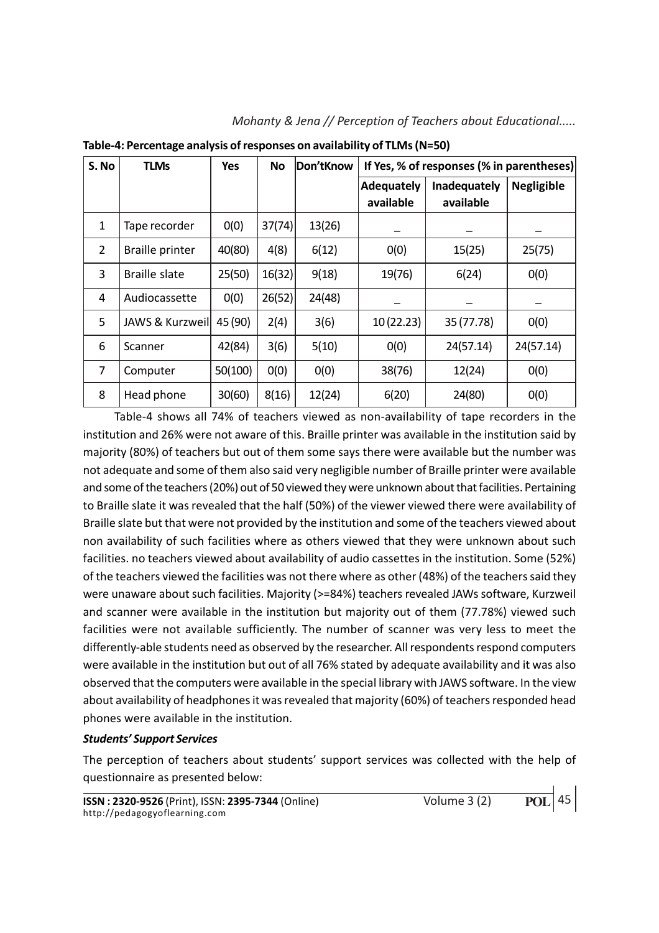| S. No          | <b>TLMs</b>            | <b>Yes</b> | <b>No</b> | Don'tKnow | If Yes, % of responses (% in parentheses) |              |                   |
|----------------|------------------------|------------|-----------|-----------|-------------------------------------------|--------------|-------------------|
|                |                        |            |           |           | Adequately                                | Inadequately | <b>Negligible</b> |
|                |                        |            |           |           | available                                 | available    |                   |
| $\mathbf{1}$   | Tape recorder          | 0(0)       | 37(74)    | 13(26)    |                                           |              |                   |
| $\overline{2}$ | <b>Braille printer</b> | 40(80)     | 4(8)      | 6(12)     | O(0)                                      | 15(25)       | 25(75)            |
| 3              | Braille slate          | 25(50)     | 16(32)    | 9(18)     | 19(76)                                    | 6(24)        | 0(0)              |
| 4              | Audiocassette          | 0(0)       | 26(52)    | 24(48)    |                                           |              |                   |
| 5              | JAWS & Kurzweil        | 45 (90)    | 2(4)      | 3(6)      | 10(22.23)                                 | 35 (77.78)   | 0(0)              |
| 6              | Scanner                | 42(84)     | 3(6)      | 5(10)     | O(0)                                      | 24(57.14)    | 24(57.14)         |
| $\overline{7}$ | Computer               | 50(100)    | 0(0)      | O(0)      | 38(76)                                    | 12(24)       | O(0)              |
| 8              | Head phone             | 30(60)     | 8(16)     | 12(24)    | 6(20)                                     | 24(80)       | O(0)              |

Mohanty & Jena // Perception of Teachers about Educational.....

Table-4: Percentage analysis of responses on availability of TLMs (N=50)

Table-4 shows all 74% of teachers viewed as non-availability of tape recorders in the institution and 26% were not aware of this. Braille printer was available in the institution said by majority (80%) of teachers but out of them some says there were available but the number was not adequate and some of them also said very negligible number of Braille printer were available and some of the teachers (20%) out of 50 viewed they were unknown about that facilities. Pertaining to Braille slate it was revealed that the half (50%) of the viewer viewed there were availability of Braille slate but that were not provided by the institution and some of the teachers viewed about non availability of such facilities where as others viewed that they were unknown about such facilities. no teachers viewed about availability of audio cassettes in the institution. Some (52%) of the teachers viewed the facilities was not there where as other (48%) of the teachers said they were unaware about such facilities. Majority (>=84%) teachers revealed JAWs software, Kurzweil and scanner were available in the institution but majority out of them (77.78%) viewed such facilities were not available sufficiently. The number of scanner was very less to meet the differently-able students need as observed by the researcher. All respondents respond computers were available in the institution but out of all 76% stated by adequate availability and it was also observed that the computers were available in the special library with JAWS software. In the view about availability of headphones it was revealed that majority (60%) of teachers responded head phones were available in the institution.

## Students' Support Services

The perception of teachers about students' support services was collected with the help of questionnaire as presented below: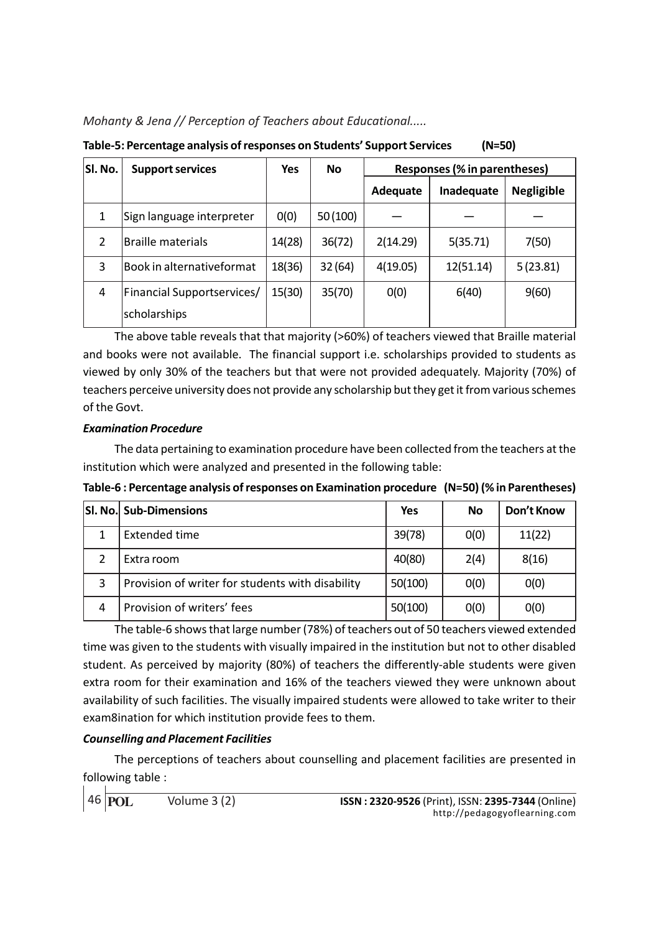| 10010-3. Tereentage analysis of responses on staachts-sapport services<br>111-JU |                            |        |         |                              |            |                   |  |
|----------------------------------------------------------------------------------|----------------------------|--------|---------|------------------------------|------------|-------------------|--|
| SI. No.                                                                          | <b>Support services</b>    | Yes    | No      | Responses (% in parentheses) |            |                   |  |
|                                                                                  |                            |        |         | Adequate                     | Inadequate | <b>Negligible</b> |  |
| 1                                                                                | Sign language interpreter  | 0(0)   | 50(100) |                              |            |                   |  |
| 2                                                                                | <b>Braille materials</b>   | 14(28) | 36(72)  | 2(14.29)                     | 5(35.71)   | 7(50)             |  |
| 3                                                                                | Book in alternativeformat  | 18(36) | 32(64)  | 4(19.05)                     | 12(51.14)  | 5(23.81)          |  |
| 4                                                                                | Financial Supportservices/ | 15(30) | 35(70)  | 0(0)                         | 6(40)      | 9(60)             |  |
|                                                                                  | scholarships               |        |         |                              |            |                   |  |

Table-5: Percentage analysis of responses on Students' Support Services (N=50)

The above table reveals that that majority (>60%) of teachers viewed that Braille material and books were not available. The financial support i.e. scholarships provided to students as viewed by only 30% of the teachers but that were not provided adequately. Majority (70%) of teachers perceive university does not provide any scholarship but they get it from various schemes of the Govt.

## Examination Procedure

The data pertaining to examination procedure have been collected from the teachers at the institution which were analyzed and presented in the following table:

| Table-6 : Percentage analysis of responses on Examination procedure (N=50) (% in Parentheses) |  |
|-----------------------------------------------------------------------------------------------|--|
|-----------------------------------------------------------------------------------------------|--|

|   | SI. No. Sub-Dimensions                           | Yes     | <b>No</b> | Don't Know |
|---|--------------------------------------------------|---------|-----------|------------|
|   | Extended time                                    | 39(78)  | 0(0)      | 11(22)     |
|   | Extra room                                       | 40(80)  | 2(4)      | 8(16)      |
| 3 | Provision of writer for students with disability | 50(100) | 0(0)      | 0(0)       |
|   | Provision of writers' fees                       | 50(100) | 0(0)      | 0(0)       |

The table-6 shows that large number (78%) of teachers out of 50 teachers viewed extended time was given to the students with visually impaired in the institution but not to other disabled student. As perceived by majority (80%) of teachers the differently-able students were given extra room for their examination and 16% of the teachers viewed they were unknown about availability of such facilities. The visually impaired students were allowed to take writer to their exam8ination for which institution provide fees to them.

## Counselling and Placement Facilities

The perceptions of teachers about counselling and placement facilities are presented in following table :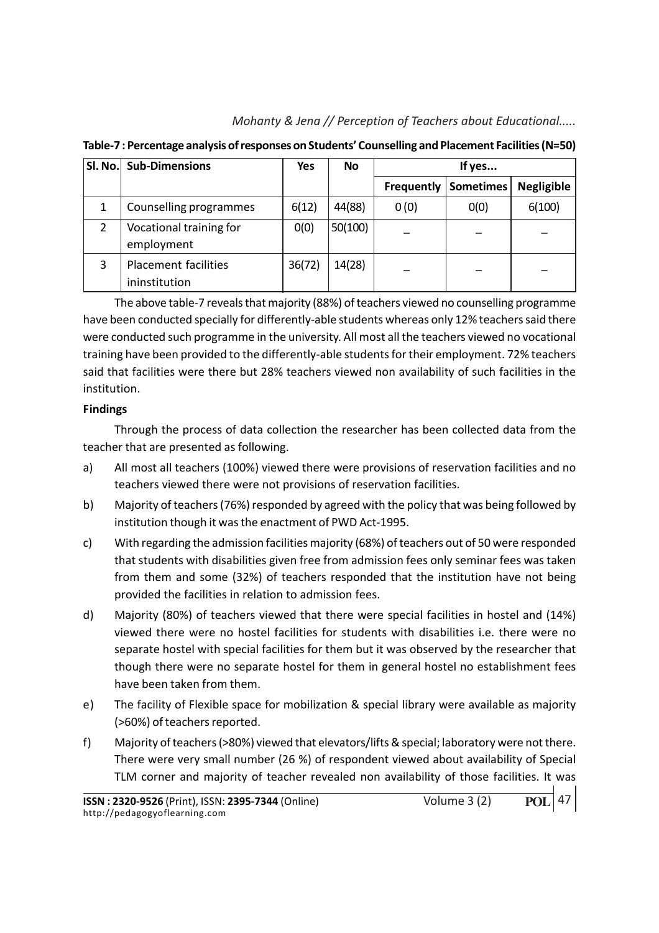Mohanty & Jena // Perception of Teachers about Educational.....

| SI. No. | <b>Sub-Dimensions</b>                        | Yes    | <b>No</b> | If yes            |           |                   |
|---------|----------------------------------------------|--------|-----------|-------------------|-----------|-------------------|
|         |                                              |        |           | <b>Frequently</b> | Sometimes | <b>Negligible</b> |
|         | Counselling programmes                       | 6(12)  | 44(88)    | 0(0)              | 0(0)      | 6(100)            |
| 2       | Vocational training for<br>employment        | 0(0)   | 50(100)   |                   |           |                   |
| 3       | <b>Placement facilities</b><br>ininstitution | 36(72) | 14(28)    |                   |           |                   |

Table-7 : Percentage analysis of responses on Students' Counselling and Placement Facilities (N=50)

The above table-7 reveals that majority (88%) of teachers viewed no counselling programme have been conducted specially for differently-able students whereas only 12% teachers said there were conducted such programme in the university. All most all the teachers viewed no vocational training have been provided to the differently-able students for their employment. 72% teachers said that facilities were there but 28% teachers viewed non availability of such facilities in the institution.

## Findings

Through the process of data collection the researcher has been collected data from the teacher that are presented as following.

- a) All most all teachers (100%) viewed there were provisions of reservation facilities and no teachers viewed there were not provisions of reservation facilities.
- b) Majority of teachers (76%) responded by agreed with the policy that was being followed by institution though it was the enactment of PWD Act-1995.
- c) With regarding the admission facilities majority (68%) of teachers out of 50 were responded that students with disabilities given free from admission fees only seminar fees was taken from them and some (32%) of teachers responded that the institution have not being provided the facilities in relation to admission fees.
- d) Majority (80%) of teachers viewed that there were special facilities in hostel and (14%) viewed there were no hostel facilities for students with disabilities i.e. there were no separate hostel with special facilities for them but it was observed by the researcher that though there were no separate hostel for them in general hostel no establishment fees have been taken from them.
- e) The facility of Flexible space for mobilization & special library were available as majority (>60%) of teachers reported.
- f) Majority of teachers (>80%) viewed that elevators/lifts & special; laboratory were not there. There were very small number (26 %) of respondent viewed about availability of Special TLM corner and majority of teacher revealed non availability of those facilities. It was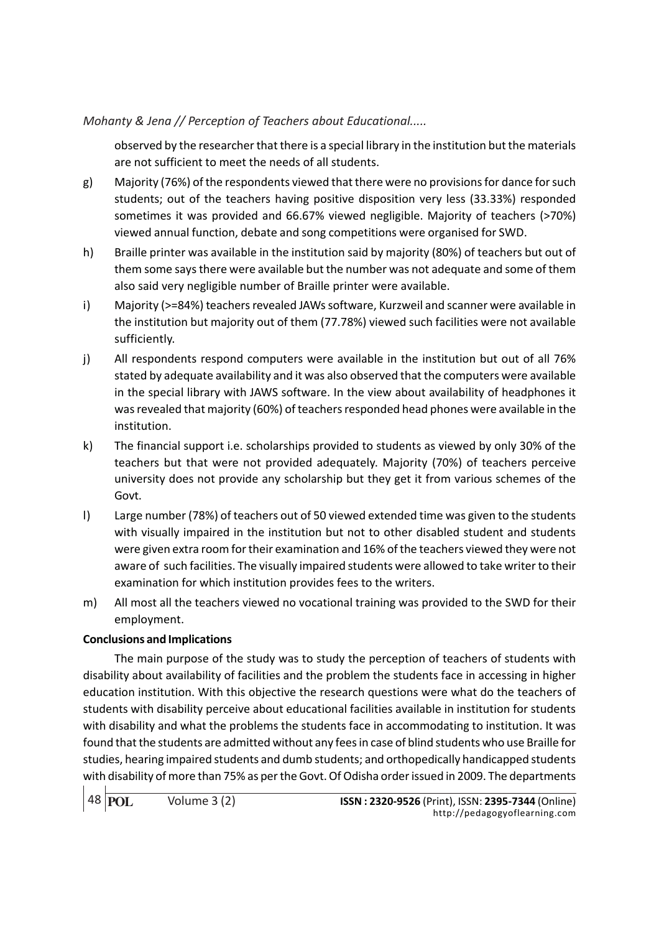observed by the researcher that there is a special library in the institution but the materials are not sufficient to meet the needs of all students.

- g) Majority (76%) of the respondents viewed that there were no provisions for dance for such students; out of the teachers having positive disposition very less (33.33%) responded sometimes it was provided and 66.67% viewed negligible. Majority of teachers (>70%) viewed annual function, debate and song competitions were organised for SWD.
- h) Braille printer was available in the institution said by majority (80%) of teachers but out of them some says there were available but the number was not adequate and some of them also said very negligible number of Braille printer were available.
- i) Majority (>=84%) teachers revealed JAWs software, Kurzweil and scanner were available in the institution but majority out of them (77.78%) viewed such facilities were not available sufficiently.
- j) All respondents respond computers were available in the institution but out of all 76% stated by adequate availability and it was also observed that the computers were available in the special library with JAWS software. In the view about availability of headphones it was revealed that majority (60%) of teachers responded head phones were available in the institution.
- k) The financial support i.e. scholarships provided to students as viewed by only 30% of the teachers but that were not provided adequately. Majority (70%) of teachers perceive university does not provide any scholarship but they get it from various schemes of the Govt.
- l) Large number (78%) of teachers out of 50 viewed extended time was given to the students with visually impaired in the institution but not to other disabled student and students were given extra room for their examination and 16% of the teachers viewed they were not aware of such facilities. The visually impaired students were allowed to take writer to their examination for which institution provides fees to the writers.
- m) All most all the teachers viewed no vocational training was provided to the SWD for their employment.

## Conclusions and Implications

The main purpose of the study was to study the perception of teachers of students with disability about availability of facilities and the problem the students face in accessing in higher education institution. With this objective the research questions were what do the teachers of students with disability perceive about educational facilities available in institution for students with disability and what the problems the students face in accommodating to institution. It was found that the students are admitted without any fees in case of blind students who use Braille for studies, hearing impaired students and dumb students; and orthopedically handicapped students with disability of more than 75% as per the Govt. Of Odisha order issued in 2009. The departments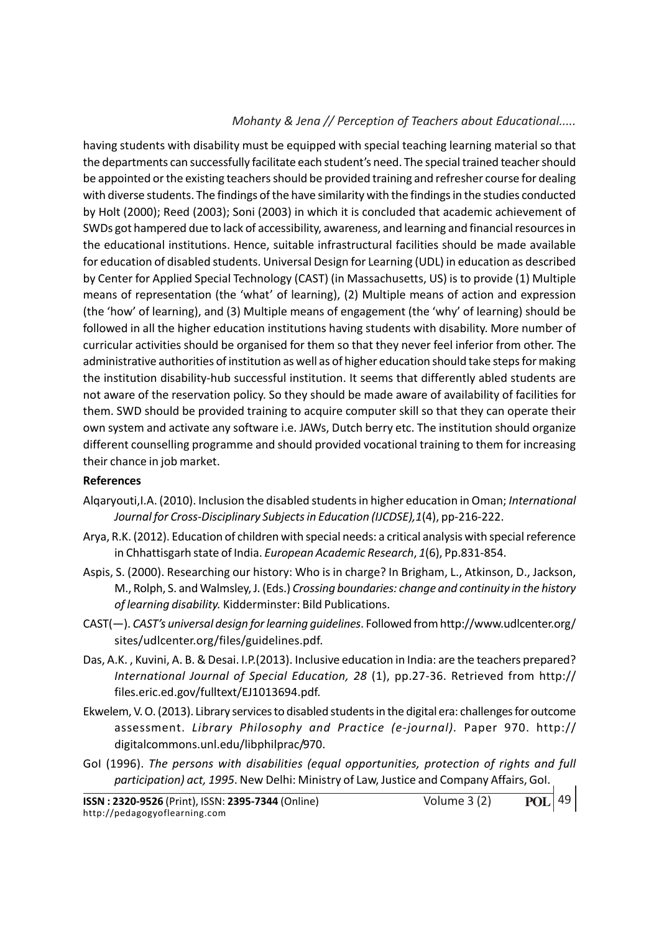having students with disability must be equipped with special teaching learning material so that the departments can successfully facilitate each student's need. The special trained teacher should be appointed or the existing teachers should be provided training and refresher course for dealing with diverse students. The findings of the have similarity with the findings in the studies conducted by Holt (2000); Reed (2003); Soni (2003) in which it is concluded that academic achievement of SWDs got hampered due to lack of accessibility, awareness, and learning and financial resources in the educational institutions. Hence, suitable infrastructural facilities should be made available for education of disabled students. Universal Design for Learning (UDL) in education as described by Center for Applied Special Technology (CAST) (in Massachusetts, US) is to provide (1) Multiple means of representation (the 'what' of learning), (2) Multiple means of action and expression (the 'how' of learning), and (3) Multiple means of engagement (the 'why' of learning) should be followed in all the higher education institutions having students with disability. More number of curricular activities should be organised for them so that they never feel inferior from other. The administrative authorities of institution as well as of higher education should take steps for making the institution disability-hub successful institution. It seems that differently abled students are not aware of the reservation policy. So they should be made aware of availability of facilities for them. SWD should be provided training to acquire computer skill so that they can operate their own system and activate any software i.e. JAWs, Dutch berry etc. The institution should organize different counselling programme and should provided vocational training to them for increasing their chance in job market.

## References

- Alqaryouti,I.A. (2010). Inclusion the disabled students in higher education in Oman; International Journal for Cross-Disciplinary Subjects in Education (IJCDSE),1(4), pp-216-222.
- Arya, R.K. (2012). Education of children with special needs: a critical analysis with special reference in Chhattisgarh state of India. European Academic Research, 1(6), Pp.831-854.
- Aspis, S. (2000). Researching our history: Who is in charge? In Brigham, L., Atkinson, D., Jackson, M., Rolph, S. and Walmsley, J. (Eds.) Crossing boundaries: change and continuity in the history of learning disability. Kidderminster: Bild Publications.
- CAST(—). CAST's universal design for learning guidelines. Followed from http://www.udlcenter.org/ sites/udlcenter.org/files/guidelines.pdf.
- Das, A.K. , Kuvini, A. B. & Desai. I.P.(2013). Inclusive education in India: are the teachers prepared? International Journal of Special Education, 28 (1), pp.27-36. Retrieved from http:// files.eric.ed.gov/fulltext/EJ1013694.pdf.
- Ekwelem, V. O. (2013). Library services to disabled students in the digital era: challenges for outcome assessment. Library Philosophy and Practice (e-journal). Paper 970. http:// digitalcommons.unl.edu/libphilprac/970.
- GoI (1996). The persons with disabilities (equal opportunities, protection of rights and full participation) act, 1995. New Delhi: Ministry of Law, Justice and Company Affairs, GoI.